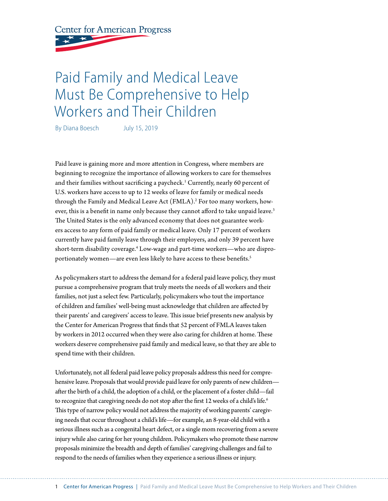**Center for American Progress** 

# Paid Family and Medical Leave Must Be Comprehensive to Help Workers and Their Children

By Diana Boesch July 15, 2019

Paid leave is gaining more and more attention in Congress, where members are beginning to recognize the importance of allowing workers to care for themselves and their families without sacrificing a paycheck.<sup>1</sup> Currently, nearly 60 percent of U.S. workers have access to up to 12 weeks of leave for family or medical needs through the Family and Medical Leave Act (FMLA).<sup>2</sup> For too many workers, however, this is a benefit in name only because they cannot afford to take unpaid leave.<sup>3</sup> The United States is the only advanced economy that does not guarantee workers access to any form of paid family or medical leave. Only 17 percent of workers currently have paid family leave through their employers, and only 39 percent have short-term disability coverage.4 Low-wage and part-time workers—who are disproportionately women—are even less likely to have access to these benefits.<sup>5</sup>

As policymakers start to address the demand for a federal paid leave policy, they must pursue a comprehensive program that truly meets the needs of all workers and their families, not just a select few. Particularly, policymakers who tout the importance of children and families' well-being must acknowledge that children are affected by their parents' and caregivers' access to leave. This issue brief presents new analysis by the Center for American Progress that finds that 52 percent of FMLA leaves taken by workers in 2012 occurred when they were also caring for children at home. These workers deserve comprehensive paid family and medical leave, so that they are able to spend time with their children.

Unfortunately, not all federal paid leave policy proposals address this need for comprehensive leave. Proposals that would provide paid leave for only parents of new children after the birth of a child, the adoption of a child, or the placement of a foster child—fail to recognize that caregiving needs do not stop after the first 12 weeks of a child's life.<sup>6</sup> This type of narrow policy would not address the majority of working parents' caregiving needs that occur throughout a child's life—for example, an 8-year-old child with a serious illness such as a congenital heart defect, or a single mom recovering from a severe injury while also caring for her young children. Policymakers who promote these narrow proposals minimize the breadth and depth of families' caregiving challenges and fail to respond to the needs of families when they experience a serious illness or injury.

1 Center for American Progress | Paid Family and Medical Leave Must Be Comprehensive to Help Workers and Their Children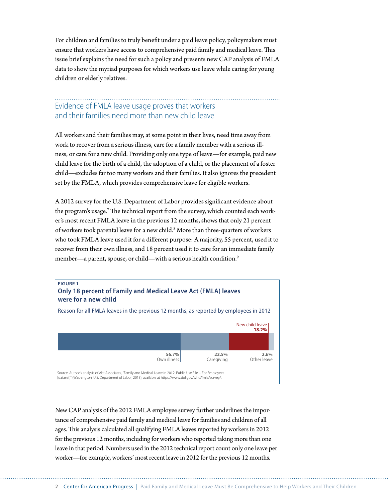For children and families to truly benefit under a paid leave policy, policymakers must ensure that workers have access to comprehensive paid family and medical leave. This issue brief explains the need for such a policy and presents new CAP analysis of FMLA data to show the myriad purposes for which workers use leave while caring for young children or elderly relatives.

## Evidence of FMLA leave usage proves that workers and their families need more than new child leave

All workers and their families may, at some point in their lives, need time away from work to recover from a serious illness, care for a family member with a serious illness, or care for a new child. Providing only one type of leave—for example, paid new child leave for the birth of a child, the adoption of a child, or the placement of a foster child—excludes far too many workers and their families. It also ignores the precedent set by the FMLA, which provides comprehensive leave for eligible workers.

A 2012 survey for the U.S. Department of Labor provides significant evidence about the program's usage. $^7$  The technical report from the survey, which counted each worker's most recent FMLA leave in the previous 12 months, shows that only 21 percent of workers took parental leave for a new child.<sup>8</sup> More than three-quarters of workers who took FMLA leave used it for a different purpose: A majority, 55 percent, used it to recover from their own illness, and 18 percent used it to care for an immediate family member—a parent, spouse, or child—with a serious health condition.<sup>9</sup>



New CAP analysis of the 2012 FMLA employee survey further underlines the importance of comprehensive paid family and medical leave for families and children of all ages. This analysis calculated all qualifying FMLA leaves reported by workers in 2012 for the previous 12 months, including for workers who reported taking more than one leave in that period. Numbers used in the 2012 technical report count only one leave per worker—for example, workers' most recent leave in 2012 for the previous 12 months.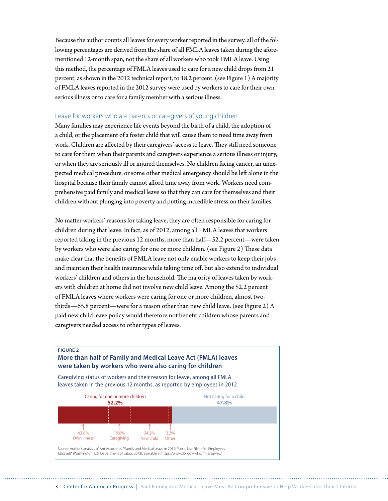Because the author counts all leaves for every worker reported in the survey, all of the following percentages are derived from the share of all FMLA leaves taken during the aforementioned 12-month span, not the share of all workers who took FMLA leave. Using this method, the percentage of FMLA leaves used to care for a new child drops from 21 percent, as shown in the 2012 technical report, to 18.2 percent. (see Figure 1) A majority of FMLA leaves reported in the 2012 survey were used by workers to care for their own serious illness or to care for a family member with a serious illness.

#### Leave for workers who are parents or caregivers of young children

Many families may experience life events beyond the birth of a child, the adoption of a child, or the placement of a foster child that will cause them to need time away from work. Children are affected by their caregivers' access to leave. They still need someone to care for them when their parents and caregivers experience a serious illness or injury, or when they are seriously ill or injured themselves. No children facing cancer, an unexpected medical procedure, or some other medical emergency should be left alone in the hospital because their family cannot afford time away from work. Workers need comprehensive paid family and medical leave so that they can care for themselves and their children without plunging into poverty and putting incredible stress on their families.

No matter workers' reasons for taking leave, they are often responsible for caring for children during that leave. In fact, as of 2012, among all FMLA leaves that workers reported taking in the previous 12 months, more than half—52.2 percent—were taken by workers who were also caring for one or more children. (see Figure 2) These data make clear that the benefits of FMLA leave not only enable workers to keep their jobs and maintain their health insurance while taking time off, but also extend to individual workers' children and others in the household. The majority of leaves taken by workers with children at home did not involve new child leave. Among the 52.2 percent of FMLA leaves where workers were caring for one or more children, almost twothirds—65.8 percent—were for a reason other than new child leave. (see Figure 2) A paid new child leave policy would therefore not benefit children whose parents and caregivers needed access to other types of leaves.

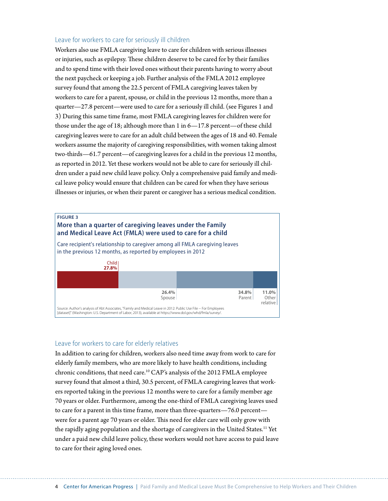#### Leave for workers to care for seriously ill children

Workers also use FMLA caregiving leave to care for children with serious illnesses or injuries, such as epilepsy. These children deserve to be cared for by their families and to spend time with their loved ones without their parents having to worry about the next paycheck or keeping a job. Further analysis of the FMLA 2012 employee survey found that among the 22.5 percent of FMLA caregiving leaves taken by workers to care for a parent, spouse, or child in the previous 12 months, more than a quarter—27.8 percent—were used to care for a seriously ill child. (see Figures 1 and 3) During this same time frame, most FMLA caregiving leaves for children were for those under the age of 18; although more than 1 in 6—17.8 percent—of these child caregiving leaves were to care for an adult child between the ages of 18 and 40. Female workers assume the majority of caregiving responsibilities, with women taking almost two-thirds—61.7 percent—of caregiving leaves for a child in the previous 12 months, as reported in 2012. Yet these workers would not be able to care for seriously ill children under a paid new child leave policy. Only a comprehensive paid family and medical leave policy would ensure that children can be cared for when they have serious illnesses or injuries, or when their parent or caregiver has a serious medical condition.



#### Leave for workers to care for elderly relatives

In addition to caring for children, workers also need time away from work to care for elderly family members, who are more likely to have health conditions, including chronic conditions, that need care.10 CAP's analysis of the 2012 FMLA employee survey found that almost a third, 30.5 percent, of FMLA caregiving leaves that workers reported taking in the previous 12 months were to care for a family member age 70 years or older. Furthermore, among the one-third of FMLA caregiving leaves used to care for a parent in this time frame, more than three-quarters—76.0 percent were for a parent age 70 years or older. This need for elder care will only grow with the rapidly aging population and the shortage of caregivers in the United States.<sup>11</sup> Yet under a paid new child leave policy, these workers would not have access to paid leave to care for their aging loved ones.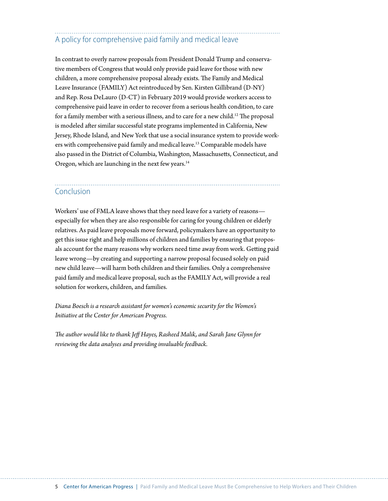## A policy for comprehensive paid family and medical leave

In contrast to overly narrow proposals from President Donald Trump and conservative members of Congress that would only provide paid leave for those with new children, a more comprehensive proposal already exists. The Family and Medical Leave Insurance (FAMILY) Act reintroduced by Sen. Kirsten Gillibrand (D-NY) and Rep. Rosa DeLauro (D-CT) in February 2019 would provide workers access to comprehensive paid leave in order to recover from a serious health condition, to care for a family member with a serious illness, and to care for a new child.<sup>12</sup> The proposal is modeled after similar successful state programs implemented in California, New Jersey, Rhode Island, and New York that use a social insurance system to provide workers with comprehensive paid family and medical leave.13 Comparable models have also passed in the District of Columbia, Washington, Massachusetts, Connecticut, and Oregon, which are launching in the next few years.<sup>14</sup>

### Conclusion

Workers' use of FMLA leave shows that they need leave for a variety of reasons especially for when they are also responsible for caring for young children or elderly relatives. As paid leave proposals move forward, policymakers have an opportunity to get this issue right and help millions of children and families by ensuring that proposals account for the many reasons why workers need time away from work. Getting paid leave wrong—by creating and supporting a narrow proposal focused solely on paid new child leave—will harm both children and their families. Only a comprehensive paid family and medical leave proposal, such as the FAMILY Act, will provide a real solution for workers, children, and families.

*Diana Boesch is a research assistant for women's economic security for the Women's Initiative at the Center for American Progress.*

*The author would like to thank Jeff Hayes, Rasheed Malik, and Sarah Jane Glynn for reviewing the data analyses and providing invaluable feedback.*